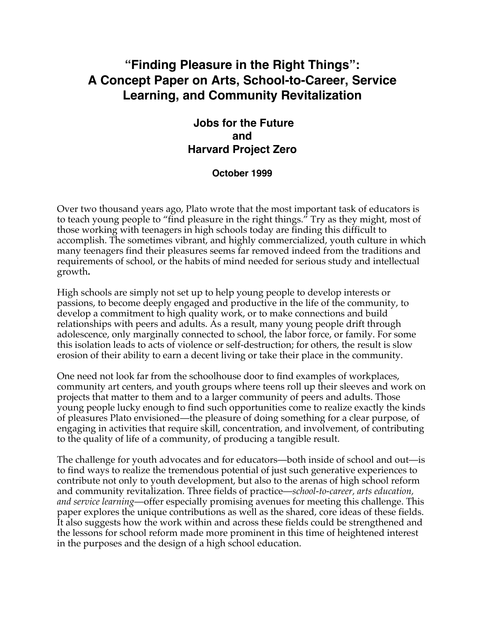# **"Finding Pleasure in the Right Things": A Concept Paper on Arts, School-to-Career, Service Learning, and Community Revitalization**

# **Jobs for the Future and Harvard Project Zero**

#### **October 1999**

Over two thousand years ago, Plato wrote that the most important task of educators is to teach young people to "find pleasure in the right things." Try as they might, most of those working with teenagers in high schools today are finding this difficult to accomplish. The sometimes vibrant, and highly commercialized, youth culture in which many teenagers find their pleasures seems far removed indeed from the traditions and requirements of school, or the habits of mind needed for serious study and intellectual growth**.**

High schools are simply not set up to help young people to develop interests or passions, to become deeply engaged and productive in the life of the community, to develop a commitment to high quality work, or to make connections and build relationships with peers and adults. As a result, many young people drift through adolescence, only marginally connected to school, the labor force, or family. For some this isolation leads to acts of violence or self-destruction; for others, the result is slow erosion of their ability to earn a decent living or take their place in the community.

One need not look far from the schoolhouse door to find examples of workplaces, community art centers, and youth groups where teens roll up their sleeves and work on projects that matter to them and to a larger community of peers and adults. Those young people lucky enough to find such opportunities come to realize exactly the kinds of pleasures Plato envisioned—the pleasure of doing something for a clear purpose, of engaging in activities that require skill, concentration, and involvement, of contributing to the quality of life of a community, of producing a tangible result.

The challenge for youth advocates and for educators—both inside of school and out—is to find ways to realize the tremendous potential of just such generative experiences to contribute not only to youth development, but also to the arenas of high school reform and community revitalization. Three fields of practice—*school-to-career, arts education, and service learning*—offer especially promising avenues for meeting this challenge. This paper explores the unique contributions as well as the shared, core ideas of these fields. It also suggests how the work within and across these fields could be strengthened and the lessons for school reform made more prominent in this time of heightened interest in the purposes and the design of a high school education.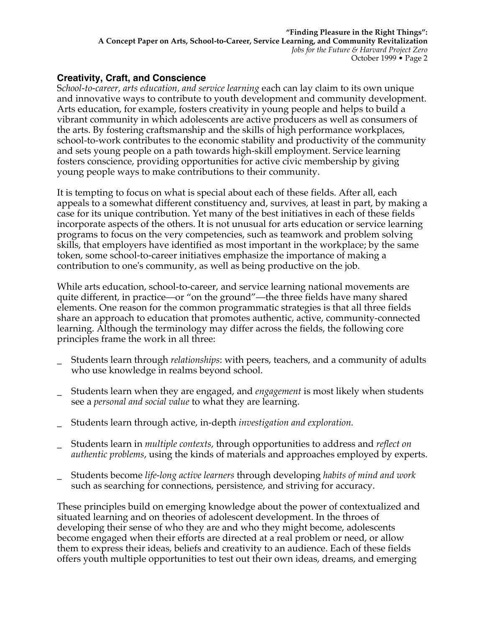### **Creativity, Craft, and Conscience**

S*chool-to-career, arts education, and service learning* each can lay claim to its own unique and innovative ways to contribute to youth development and community development. Arts education, for example, fosters creativity in young people and helps to build a vibrant community in which adolescents are active producers as well as consumers of the arts. By fostering craftsmanship and the skills of high performance workplaces, school-to-work contributes to the economic stability and productivity of the community and sets young people on a path towards high-skill employment. Service learning fosters conscience, providing opportunities for active civic membership by giving young people ways to make contributions to their community.

It is tempting to focus on what is special about each of these fields. After all, each appeals to a somewhat different constituency and, survives, at least in part, by making a case for its unique contribution. Yet many of the best initiatives in each of these fields incorporate aspects of the others. It is not unusual for arts education or service learning programs to focus on the very competencies, such as teamwork and problem solving skills, that employers have identified as most important in the workplace; by the same token, some school-to-career initiatives emphasize the importance of making a contribution to one's community, as well as being productive on the job.

While arts education, school-to-career, and service learning national movements are quite different, in practice—or "on the ground"—the three fields have many shared elements. One reason for the common programmatic strategies is that all three fields share an approach to education that promotes authentic, active, community-connected learning. Although the terminology may differ across the fields, the following core principles frame the work in all three:

- \_ Students learn through *relationships*: with peers, teachers, and a community of adults who use knowledge in realms beyond school.
- \_ Students learn when they are engaged, and *engagement* is most likely when students see a *personal and social value* to what they are learning.
- \_ Students learn through active, in-depth *investigation and exploration.*
- \_ Students learn in *multiple contexts*, through opportunities to address and *reflect on authentic problems*, using the kinds of materials and approaches employed by experts.
- \_ Students become *life-long active learners* through developing *habits of mind and work* such as searching for connections, persistence, and striving for accuracy.

These principles build on emerging knowledge about the power of contextualized and situated learning and on theories of adolescent development. In the throes of developing their sense of who they are and who they might become, adolescents become engaged when their efforts are directed at a real problem or need, or allow them to express their ideas, beliefs and creativity to an audience. Each of these fields offers youth multiple opportunities to test out their own ideas, dreams, and emerging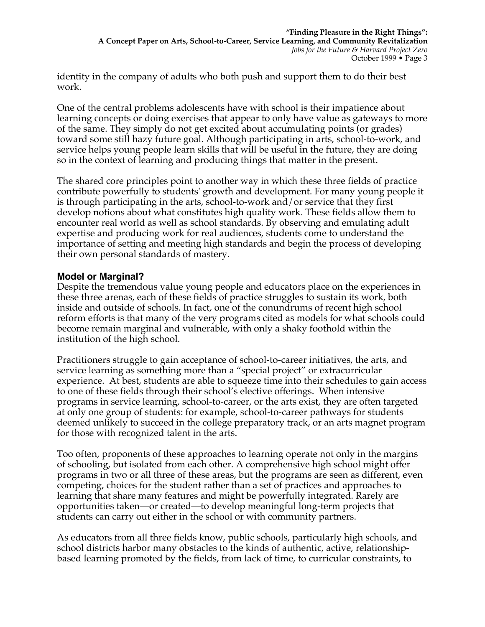identity in the company of adults who both push and support them to do their best work.

One of the central problems adolescents have with school is their impatience about learning concepts or doing exercises that appear to only have value as gateways to more of the same. They simply do not get excited about accumulating points (or grades) toward some still hazy future goal. Although participating in arts, school-to-work, and service helps young people learn skills that will be useful in the future, they are doing so in the context of learning and producing things that matter in the present.

The shared core principles point to another way in which these three fields of practice contribute powerfully to students' growth and development. For many young people it is through participating in the arts, school-to-work and/or service that they first develop notions about what constitutes high quality work. These fields allow them to encounter real world as well as school standards. By observing and emulating adult expertise and producing work for real audiences, students come to understand the importance of setting and meeting high standards and begin the process of developing their own personal standards of mastery.

#### **Model or Marginal?**

Despite the tremendous value young people and educators place on the experiences in these three arenas, each of these fields of practice struggles to sustain its work, both inside and outside of schools. In fact, one of the conundrums of recent high school reform efforts is that many of the very programs cited as models for what schools could become remain marginal and vulnerable, with only a shaky foothold within the institution of the high school.

Practitioners struggle to gain acceptance of school-to-career initiatives, the arts, and service learning as something more than a "special project" or extracurricular experience. At best, students are able to squeeze time into their schedules to gain access to one of these fields through their school's elective offerings. When intensive programs in service learning, school-to-career, or the arts exist, they are often targeted at only one group of students: for example, school-to-career pathways for students deemed unlikely to succeed in the college preparatory track, or an arts magnet program for those with recognized talent in the arts.

Too often, proponents of these approaches to learning operate not only in the margins of schooling, but isolated from each other. A comprehensive high school might offer programs in two or all three of these areas, but the programs are seen as different, even competing, choices for the student rather than a set of practices and approaches to learning that share many features and might be powerfully integrated. Rarely are opportunities taken—or created—to develop meaningful long-term projects that students can carry out either in the school or with community partners.

As educators from all three fields know, public schools, particularly high schools, and school districts harbor many obstacles to the kinds of authentic, active, relationshipbased learning promoted by the fields, from lack of time, to curricular constraints, to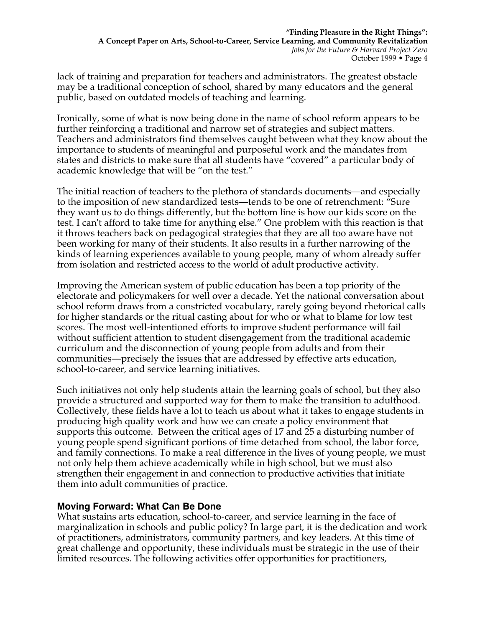lack of training and preparation for teachers and administrators. The greatest obstacle may be a traditional conception of school, shared by many educators and the general public, based on outdated models of teaching and learning.

Ironically, some of what is now being done in the name of school reform appears to be further reinforcing a traditional and narrow set of strategies and subject matters. Teachers and administrators find themselves caught between what they know about the importance to students of meaningful and purposeful work and the mandates from states and districts to make sure that all students have "covered" a particular body of academic knowledge that will be "on the test."

The initial reaction of teachers to the plethora of standards documents—and especially to the imposition of new standardized tests—tends to be one of retrenchment: "Sure they want us to do things differently, but the bottom line is how our kids score on the test. I can't afford to take time for anything else." One problem with this reaction is that it throws teachers back on pedagogical strategies that they are all too aware have not been working for many of their students. It also results in a further narrowing of the kinds of learning experiences available to young people, many of whom already suffer from isolation and restricted access to the world of adult productive activity.

Improving the American system of public education has been a top priority of the electorate and policymakers for well over a decade. Yet the national conversation about school reform draws from a constricted vocabulary, rarely going beyond rhetorical calls for higher standards or the ritual casting about for who or what to blame for low test scores. The most well-intentioned efforts to improve student performance will fail without sufficient attention to student disengagement from the traditional academic curriculum and the disconnection of young people from adults and from their communities—precisely the issues that are addressed by effective arts education, school-to-career, and service learning initiatives.

Such initiatives not only help students attain the learning goals of school, but they also provide a structured and supported way for them to make the transition to adulthood. Collectively, these fields have a lot to teach us about what it takes to engage students in producing high quality work and how we can create a policy environment that supports this outcome. Between the critical ages of 17 and 25 a disturbing number of young people spend significant portions of time detached from school, the labor force, and family connections. To make a real difference in the lives of young people, we must not only help them achieve academically while in high school, but we must also strengthen their engagement in and connection to productive activities that initiate them into adult communities of practice.

## **Moving Forward: What Can Be Done**

What sustains arts education, school-to-career, and service learning in the face of marginalization in schools and public policy? In large part, it is the dedication and work of practitioners, administrators, community partners, and key leaders. At this time of great challenge and opportunity, these individuals must be strategic in the use of their limited resources. The following activities offer opportunities for practitioners,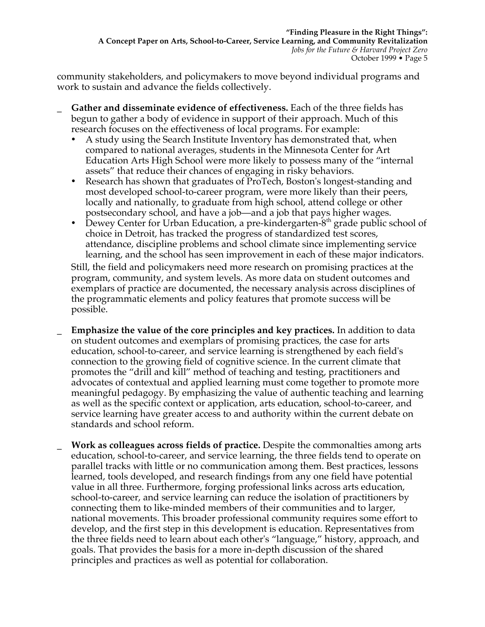community stakeholders, and policymakers to move beyond individual programs and work to sustain and advance the fields collectively.

- \_ **Gather and disseminate evidence of effectiveness.** Each of the three fields has begun to gather a body of evidence in support of their approach. Much of this research focuses on the effectiveness of local programs. For example:
	- · A study using the Search Institute Inventory has demonstrated that, when compared to national averages, students in the Minnesota Center for Art Education Arts High School were more likely to possess many of the "internal assets" that reduce their chances of engaging in risky behaviors.
	- · Research has shown that graduates of ProTech, Boston's longest-standing and most developed school-to-career program, were more likely than their peers, locally and nationally, to graduate from high school, attend college or other postsecondary school, and have a job—and a job that pays higher wages.
	- Dewey Center for Urban Education, a pre-kindergarten- $8<sup>th</sup>$  grade public school of choice in Detroit, has tracked the progress of standardized test scores, attendance, discipline problems and school climate since implementing service learning, and the school has seen improvement in each of these major indicators.

Still, the field and policymakers need more research on promising practices at the program, community, and system levels. As more data on student outcomes and exemplars of practice are documented, the necessary analysis across disciplines of the programmatic elements and policy features that promote success will be possible.

- \_ **Emphasize the value of the core principles and key practices.** In addition to data on student outcomes and exemplars of promising practices, the case for arts education, school-to-career, and service learning is strengthened by each field's connection to the growing field of cognitive science. In the current climate that promotes the "drill and kill" method of teaching and testing, practitioners and advocates of contextual and applied learning must come together to promote more meaningful pedagogy. By emphasizing the value of authentic teaching and learning as well as the specific context or application, arts education, school-to-career, and service learning have greater access to and authority within the current debate on standards and school reform.
- \_ **Work as colleagues across fields of practice.** Despite the commonalties among arts education, school-to-career, and service learning, the three fields tend to operate on parallel tracks with little or no communication among them. Best practices, lessons learned, tools developed, and research findings from any one field have potential value in all three. Furthermore, forging professional links across arts education, school-to-career, and service learning can reduce the isolation of practitioners by connecting them to like-minded members of their communities and to larger, national movements. This broader professional community requires some effort to develop, and the first step in this development is education. Representatives from the three fields need to learn about each other's "language," history, approach, and goals. That provides the basis for a more in-depth discussion of the shared principles and practices as well as potential for collaboration.